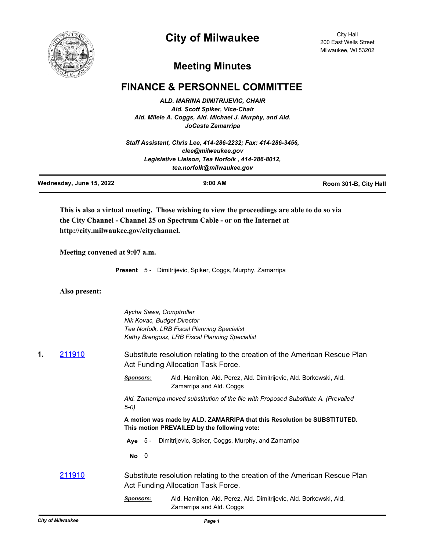

## **City of Milwaukee**

City Hall 200 East Wells Street Milwaukee, WI 53202

## **Meeting Minutes**

## **FINANCE & PERSONNEL COMMITTEE**

*ALD. MARINA DIMITRIJEVIC, CHAIR Ald. Scott Spiker, Vice-Chair Ald. Milele A. Coggs, Ald. Michael J. Murphy, and Ald. JoCasta Zamarripa*

| Staff Assistant, Chris Lee, 414-286-2232: Fax: 414-286-3456. |
|--------------------------------------------------------------|
| clee@milwaukee.gov                                           |
| Legislative Liaison, Tea Norfolk, 414-286-8012,              |
| tea.norfolk@milwaukee.gov                                    |

| Wednesday, June 15, 2022 | $9:00$ AM | Room 301-B, City Hall |
|--------------------------|-----------|-----------------------|
|                          |           |                       |

**This is also a virtual meeting. Those wishing to view the proceedings are able to do so via the City Channel - Channel 25 on Spectrum Cable - or on the Internet at http://city.milwaukee.gov/citychannel.**

**Meeting convened at 9:07 a.m.**

**Present** 5 - Dimitrijevic, Spiker, Coggs, Murphy, Zamarripa

**Also present:**

|    |               | Aycha Sawa, Comptroller<br>Nik Kovac, Budget Director | Tea Norfolk, LRB Fiscal Planning Specialist<br>Kathy Brengosz, LRB Fiscal Planning Specialist                            |
|----|---------------|-------------------------------------------------------|--------------------------------------------------------------------------------------------------------------------------|
| 1. | 211910        |                                                       | Substitute resolution relating to the creation of the American Rescue Plan<br>Act Funding Allocation Task Force.         |
|    |               | <b>Sponsors:</b>                                      | Ald. Hamilton, Ald. Perez, Ald. Dimitrijevic, Ald. Borkowski, Ald.<br>Zamarripa and Ald. Coggs                           |
|    |               | $5-0)$                                                | Ald. Zamarripa moved substitution of the file with Proposed Substitute A. (Prevailed                                     |
|    |               |                                                       | A motion was made by ALD. ZAMARRIPA that this Resolution be SUBSTITUTED.<br>This motion PREVAILED by the following vote: |
|    |               | Ave $5 -$                                             | Dimitrijevic, Spiker, Coggs, Murphy, and Zamarripa                                                                       |
|    |               | $No$ 0                                                |                                                                                                                          |
|    | <u>211910</u> |                                                       | Substitute resolution relating to the creation of the American Rescue Plan<br>Act Funding Allocation Task Force.         |
|    |               | <b>Sponsors:</b>                                      | Ald. Hamilton, Ald. Perez, Ald. Dimitrijevic, Ald. Borkowski, Ald.<br>Zamarripa and Ald. Coggs                           |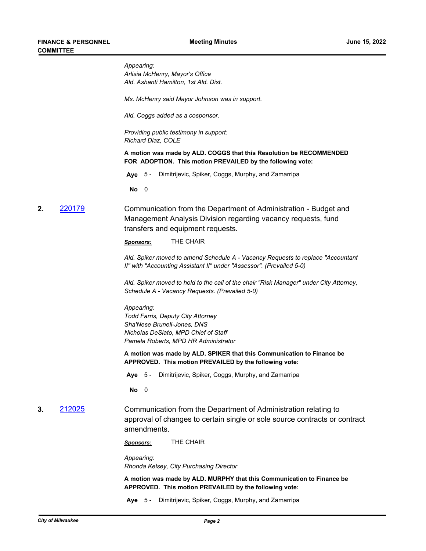*Appearing: Arlisia McHenry, Mayor's Office Ald. Ashanti Hamilton, 1st Ald. Dist.*

*Ms. McHenry said Mayor Johnson was in support.*

*Ald. Coggs added as a cosponsor.*

*Providing public testimony in support: Richard Diaz, COLE*

**A motion was made by ALD. COGGS that this Resolution be RECOMMENDED FOR ADOPTION. This motion PREVAILED by the following vote:**

**Aye** 5 - Dimitrijevic, Spiker, Coggs, Murphy, and Zamarripa

**No** 0

**2.** [220179](http://milwaukee.legistar.com/gateway.aspx?m=l&id=/matter.aspx?key=62184) Communication from the Department of Administration - Budget and Management Analysis Division regarding vacancy requests, fund transfers and equipment requests.

*Sponsors:* THE CHAIR

*Ald. Spiker moved to amend Schedule A - Vacancy Requests to replace "Accountant II" with "Accounting Assistant II" under "Assessor". (Prevailed 5-0)*

*Ald. Spiker moved to hold to the call of the chair "Risk Manager" under City Attorney, Schedule A - Vacancy Requests. (Prevailed 5-0)*

*Appearing: Todd Farris, Deputy City Attorney Sha'Nese Brunell-Jones, DNS Nicholas DeSiato, MPD Chief of Staff Pamela Roberts, MPD HR Administrator*

**A motion was made by ALD. SPIKER that this Communication to Finance be APPROVED. This motion PREVAILED by the following vote:**

**Aye** 5 - Dimitrijevic, Spiker, Coggs, Murphy, and Zamarripa

**No** 0

**3.** [212025](http://milwaukee.legistar.com/gateway.aspx?m=l&id=/matter.aspx?key=61902) Communication from the Department of Administration relating to approval of changes to certain single or sole source contracts or contract amendments.

*Sponsors:* THE CHAIR

*Appearing: Rhonda Kelsey, City Purchasing Director*

**A motion was made by ALD. MURPHY that this Communication to Finance be APPROVED. This motion PREVAILED by the following vote:**

**Aye** 5 - Dimitrijevic, Spiker, Coggs, Murphy, and Zamarripa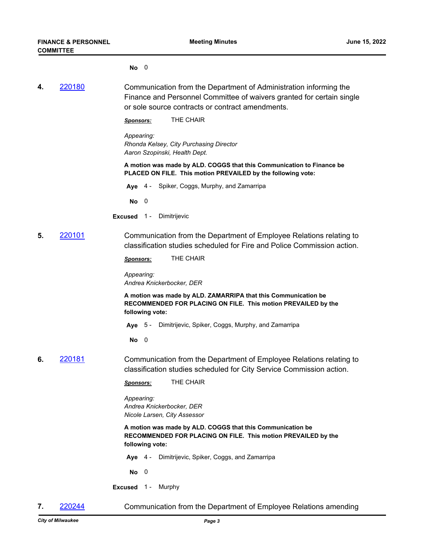**No** 0

**4.** [220180](http://milwaukee.legistar.com/gateway.aspx?m=l&id=/matter.aspx?key=62288) Communication from the Department of Administration informing the Finance and Personnel Committee of waivers granted for certain single or sole source contracts or contract amendments.

*Sponsors:* THE CHAIR

*Appearing: Rhonda Kelsey, City Purchasing Director Aaron Szopinski, Health Dept.*

**A motion was made by ALD. COGGS that this Communication to Finance be PLACED ON FILE. This motion PREVAILED by the following vote:**

**Aye** 4 - Spiker, Coggs, Murphy, and Zamarripa

**No** 0

- **Excused** 1 Dimitrijevic
- **5.** [220101](http://milwaukee.legistar.com/gateway.aspx?m=l&id=/matter.aspx?key=62127) Communication from the Department of Employee Relations relating to classification studies scheduled for Fire and Police Commission action.

*Sponsors:* THE CHAIR

*Appearing: Andrea Knickerbocker, DER*

**A motion was made by ALD. ZAMARRIPA that this Communication be RECOMMENDED FOR PLACING ON FILE. This motion PREVAILED by the following vote:**

**Aye** 5 - Dimitrijevic, Spiker, Coggs, Murphy, and Zamarripa

**No** 0

**6.** [220181](http://milwaukee.legistar.com/gateway.aspx?m=l&id=/matter.aspx?key=62289) Communication from the Department of Employee Relations relating to classification studies scheduled for City Service Commission action.

*Sponsors:* THE CHAIR

*Appearing: Andrea Knickerbocker, DER Nicole Larsen, City Assessor*

**A motion was made by ALD. COGGS that this Communication be RECOMMENDED FOR PLACING ON FILE. This motion PREVAILED by the following vote:**

**Aye** 4 - Dimitrijevic, Spiker, Coggs, and Zamarripa

**No** 0

**Excused** 1 - Murphy

**7.** [220244](http://milwaukee.legistar.com/gateway.aspx?m=l&id=/matter.aspx?key=62405) Communication from the Department of Employee Relations amending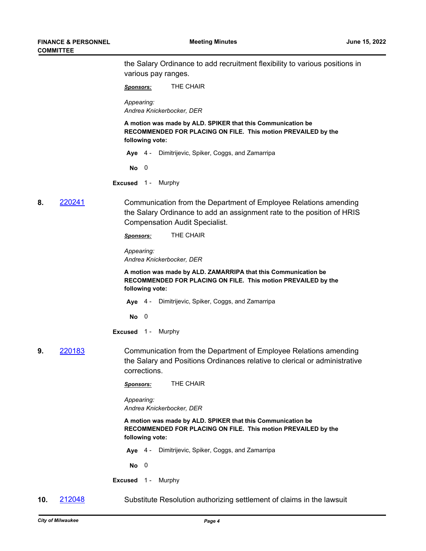|    |        | the Salary Ordinance to add recruitment flexibility to various positions in<br>various pay ranges.                                                                                  |
|----|--------|-------------------------------------------------------------------------------------------------------------------------------------------------------------------------------------|
|    |        | THE CHAIR<br><b>Sponsors:</b>                                                                                                                                                       |
|    |        | Appearing:<br>Andrea Knickerbocker, DER                                                                                                                                             |
|    |        | A motion was made by ALD. SPIKER that this Communication be<br>RECOMMENDED FOR PLACING ON FILE. This motion PREVAILED by the<br>following vote:                                     |
|    |        | Aye 4 - Dimitrijevic, Spiker, Coggs, and Zamarripa                                                                                                                                  |
|    |        | No<br>$\overline{0}$                                                                                                                                                                |
|    |        | Excused 1 - Murphy                                                                                                                                                                  |
| 8. | 220241 | Communication from the Department of Employee Relations amending<br>the Salary Ordinance to add an assignment rate to the position of HRIS<br><b>Compensation Audit Specialist.</b> |
|    |        | THE CHAIR<br>Sponsors:                                                                                                                                                              |
|    |        | Appearing:<br>Andrea Knickerbocker, DER                                                                                                                                             |
|    |        | A motion was made by ALD. ZAMARRIPA that this Communication be<br>RECOMMENDED FOR PLACING ON FILE. This motion PREVAILED by the<br>following vote:                                  |
|    |        | Aye 4 - Dimitrijevic, Spiker, Coggs, and Zamarripa                                                                                                                                  |
|    |        | $\overline{\mathbf{0}}$<br>No.                                                                                                                                                      |
|    |        | Excused 1 - Murphy                                                                                                                                                                  |
| 9. | 220183 | Communication from the Department of Employee Relations amending<br>the Salary and Positions Ordinances relative to clerical or administrative<br>corrections.                      |
|    |        | THE CHAIR<br><b>Sponsors:</b>                                                                                                                                                       |
|    |        | Appearing:<br>Andrea Knickerbocker, DER                                                                                                                                             |
|    |        | A motion was made by ALD. SPIKER that this Communication be<br>RECOMMENDED FOR PLACING ON FILE. This motion PREVAILED by the<br>following vote:                                     |
|    |        | Dimitrijevic, Spiker, Coggs, and Zamarripa<br>Aye 4 -                                                                                                                               |
|    |        | $No$ 0                                                                                                                                                                              |
|    |        | Excused 1 - Murphy                                                                                                                                                                  |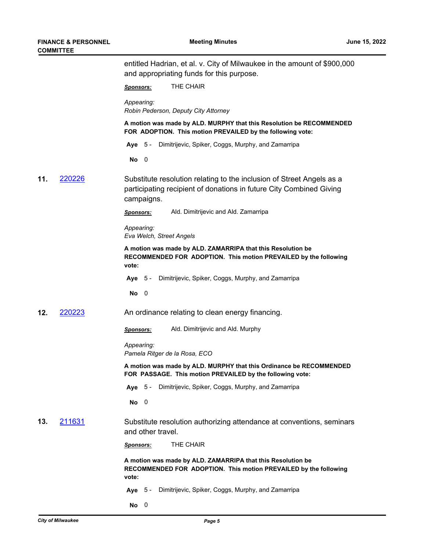|     | COMMITTEE |                                                                                                                                                            |
|-----|-----------|------------------------------------------------------------------------------------------------------------------------------------------------------------|
|     |           | entitled Hadrian, et al. v. City of Milwaukee in the amount of \$900,000<br>and appropriating funds for this purpose.                                      |
|     |           | THE CHAIR<br><b>Sponsors:</b>                                                                                                                              |
|     |           | Appearing:<br>Robin Pederson, Deputy City Attorney                                                                                                         |
|     |           | A motion was made by ALD. MURPHY that this Resolution be RECOMMENDED<br>FOR ADOPTION. This motion PREVAILED by the following vote:                         |
|     |           | Aye 5 - Dimitrijevic, Spiker, Coggs, Murphy, and Zamarripa                                                                                                 |
|     |           | $\overline{\phantom{0}}$<br>No                                                                                                                             |
| 11. | 220226    | Substitute resolution relating to the inclusion of Street Angels as a<br>participating recipient of donations in future City Combined Giving<br>campaigns. |
|     |           | Ald. Dimitrijevic and Ald. Zamarripa<br><b>Sponsors:</b>                                                                                                   |
|     |           | Appearing:<br>Eva Welch, Street Angels                                                                                                                     |
|     |           | A motion was made by ALD. ZAMARRIPA that this Resolution be<br>RECOMMENDED FOR ADOPTION. This motion PREVAILED by the following<br>vote:                   |
|     |           | Aye 5 - Dimitrijevic, Spiker, Coggs, Murphy, and Zamarripa                                                                                                 |
|     |           | $\overline{\phantom{0}}$<br>No                                                                                                                             |
| 12. | 220223    | An ordinance relating to clean energy financing.                                                                                                           |
|     |           | Ald. Dimitrijevic and Ald. Murphy<br><u>Sponsors:</u>                                                                                                      |
|     |           | Appearing:<br>Pamela Ritger de la Rosa, ECO                                                                                                                |
|     |           | A motion was made by ALD. MURPHY that this Ordinance be RECOMMENDED<br>FOR PASSAGE. This motion PREVAILED by the following vote:                           |
|     |           | Aye 5 - Dimitrijevic, Spiker, Coggs, Murphy, and Zamarripa                                                                                                 |
|     |           | $No$ 0                                                                                                                                                     |
| 13. | 211631    | Substitute resolution authorizing attendance at conventions, seminars<br>and other travel.                                                                 |
|     |           | THE CHAIR<br><b>Sponsors:</b>                                                                                                                              |
|     |           | A motion was made by ALD. ZAMARRIPA that this Resolution be<br>RECOMMENDED FOR ADOPTION. This motion PREVAILED by the following<br>vote:                   |
|     |           | Dimitrijevic, Spiker, Coggs, Murphy, and Zamarripa<br>Aye $5-$                                                                                             |
|     |           | $No$ 0                                                                                                                                                     |